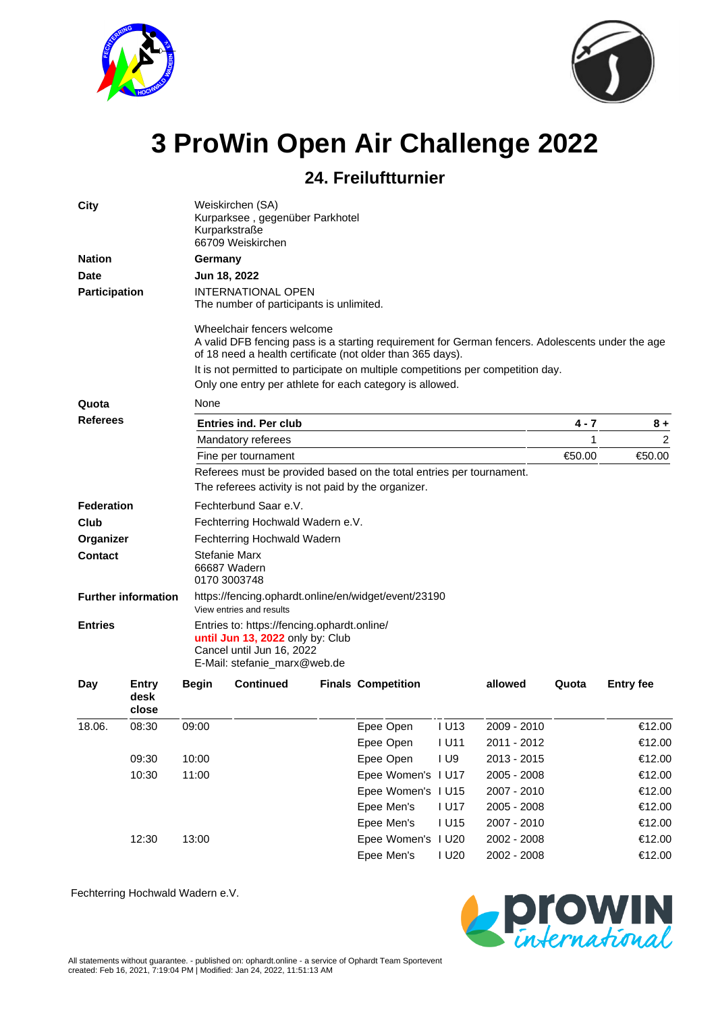



## **3 ProWin Open Air Challenge 2022**

## **24. Freiluftturnier**

| <b>City</b>                                  |                        | Weiskirchen (SA)<br>Kurparksee, gegenüber Parkhotel<br>Kurparkstraße<br>66709 Weiskirchen |                                                                                                                                                                                              |  |                           |                |             |       |                  |  |  |  |  |  |  |
|----------------------------------------------|------------------------|-------------------------------------------------------------------------------------------|----------------------------------------------------------------------------------------------------------------------------------------------------------------------------------------------|--|---------------------------|----------------|-------------|-------|------------------|--|--|--|--|--|--|
| <b>Nation</b>                                |                        |                                                                                           | Germany<br>Jun 18, 2022                                                                                                                                                                      |  |                           |                |             |       |                  |  |  |  |  |  |  |
| <b>Date</b>                                  |                        |                                                                                           |                                                                                                                                                                                              |  |                           |                |             |       |                  |  |  |  |  |  |  |
| Participation                                |                        |                                                                                           | <b>INTERNATIONAL OPEN</b><br>The number of participants is unlimited.                                                                                                                        |  |                           |                |             |       |                  |  |  |  |  |  |  |
|                                              |                        |                                                                                           | Wheelchair fencers welcome<br>A valid DFB fencing pass is a starting requirement for German fencers. Adolescents under the age<br>of 18 need a health certificate (not older than 365 days). |  |                           |                |             |       |                  |  |  |  |  |  |  |
|                                              |                        |                                                                                           | It is not permitted to participate on multiple competitions per competition day.                                                                                                             |  |                           |                |             |       |                  |  |  |  |  |  |  |
|                                              |                        |                                                                                           | Only one entry per athlete for each category is allowed.                                                                                                                                     |  |                           |                |             |       |                  |  |  |  |  |  |  |
| Quota                                        |                        | None                                                                                      |                                                                                                                                                                                              |  |                           |                |             |       |                  |  |  |  |  |  |  |
| <b>Referees</b>                              |                        |                                                                                           | <b>Entries ind. Per club</b>                                                                                                                                                                 |  | 4 - 7                     | $8+$           |             |       |                  |  |  |  |  |  |  |
|                                              |                        |                                                                                           | Mandatory referees                                                                                                                                                                           |  | 1                         | $\overline{2}$ |             |       |                  |  |  |  |  |  |  |
|                                              |                        |                                                                                           | Fine per tournament                                                                                                                                                                          |  | €50.00                    | €50.00         |             |       |                  |  |  |  |  |  |  |
|                                              |                        |                                                                                           | Referees must be provided based on the total entries per tournament.                                                                                                                         |  |                           |                |             |       |                  |  |  |  |  |  |  |
|                                              |                        |                                                                                           | The referees activity is not paid by the organizer.                                                                                                                                          |  |                           |                |             |       |                  |  |  |  |  |  |  |
| <b>Federation</b>                            |                        |                                                                                           | Fechterbund Saar e.V.                                                                                                                                                                        |  |                           |                |             |       |                  |  |  |  |  |  |  |
| Club                                         |                        |                                                                                           | Fechterring Hochwald Wadern e.V.                                                                                                                                                             |  |                           |                |             |       |                  |  |  |  |  |  |  |
| Organizer                                    |                        |                                                                                           | Fechterring Hochwald Wadern                                                                                                                                                                  |  |                           |                |             |       |                  |  |  |  |  |  |  |
| <b>Contact</b><br><b>Further information</b> |                        |                                                                                           | <b>Stefanie Marx</b><br>66687 Wadern<br>0170 3003748                                                                                                                                         |  |                           |                |             |       |                  |  |  |  |  |  |  |
|                                              |                        |                                                                                           | https://fencing.ophardt.online/en/widget/event/23190<br>View entries and results                                                                                                             |  |                           |                |             |       |                  |  |  |  |  |  |  |
| <b>Entries</b>                               |                        |                                                                                           | Entries to: https://fencing.ophardt.online/<br>until Jun 13, 2022 only by: Club<br>Cancel until Jun 16, 2022<br>E-Mail: stefanie_marx@web.de                                                 |  |                           |                |             |       |                  |  |  |  |  |  |  |
| Day                                          | Entry<br>desk<br>close | <b>Begin</b>                                                                              | <b>Continued</b>                                                                                                                                                                             |  | <b>Finals Competition</b> |                | allowed     | Quota | <b>Entry fee</b> |  |  |  |  |  |  |
| 18.06.                                       | 08:30                  | 09:00                                                                                     |                                                                                                                                                                                              |  | Epee Open                 | <b>IU13</b>    | 2009 - 2010 |       | €12.00           |  |  |  |  |  |  |
|                                              |                        |                                                                                           |                                                                                                                                                                                              |  | Epee Open                 | <b>IU11</b>    | 2011 - 2012 |       | €12.00           |  |  |  |  |  |  |
|                                              | 09:30                  | 10:00                                                                                     |                                                                                                                                                                                              |  | Epee Open                 | I U9           | 2013 - 2015 |       | €12.00           |  |  |  |  |  |  |
|                                              | 10:30                  | 11:00                                                                                     |                                                                                                                                                                                              |  | Epee Women's I U17        |                | 2005 - 2008 |       | €12.00           |  |  |  |  |  |  |
|                                              |                        |                                                                                           |                                                                                                                                                                                              |  | Epee Women's I U15        |                | 2007 - 2010 |       | €12.00           |  |  |  |  |  |  |
|                                              |                        |                                                                                           |                                                                                                                                                                                              |  | Epee Men's                | <b>IU17</b>    | 2005 - 2008 |       | €12.00           |  |  |  |  |  |  |
|                                              |                        |                                                                                           |                                                                                                                                                                                              |  | Epee Men's                | <b>IU15</b>    | 2007 - 2010 |       | €12.00           |  |  |  |  |  |  |
|                                              | 12:30                  | 13:00                                                                                     |                                                                                                                                                                                              |  | Epee Women's I U20        |                | 2002 - 2008 |       | €12.00           |  |  |  |  |  |  |
|                                              |                        |                                                                                           |                                                                                                                                                                                              |  | Epee Men's                | <b>IU20</b>    | 2002 - 2008 |       | €12.00           |  |  |  |  |  |  |

Fechterring Hochwald Wadern e.V.